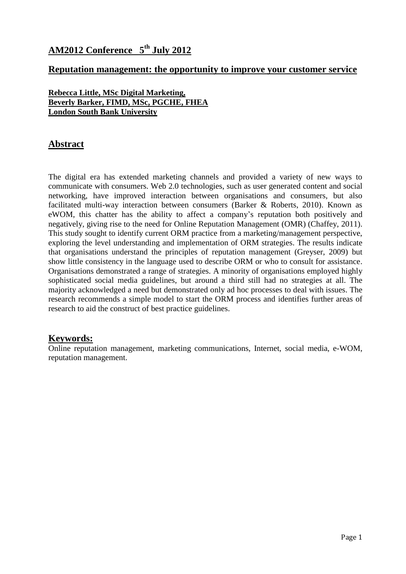## **AM2012 Conference 5 th July 2012**

### **Reputation management: the opportunity to improve your customer service**

**Rebecca Little, MSc Digital Marketing, Beverly Barker, FIMD, MSc, PGCHE, FHEA London South Bank University** 

## **Abstract**

The digital era has extended marketing channels and provided a variety of new ways to communicate with consumers. Web 2.0 technologies, such as user generated content and social networking, have improved interaction between organisations and consumers, but also facilitated multi-way interaction between consumers (Barker & Roberts, 2010). Known as eWOM, this chatter has the ability to affect a company's reputation both positively and negatively, giving rise to the need for Online Reputation Management (OMR) (Chaffey, 2011). This study sought to identify current ORM practice from a marketing/management perspective, exploring the level understanding and implementation of ORM strategies. The results indicate that organisations understand the principles of reputation management (Greyser, 2009) but show little consistency in the language used to describe ORM or who to consult for assistance. Organisations demonstrated a range of strategies. A minority of organisations employed highly sophisticated social media guidelines, but around a third still had no strategies at all. The majority acknowledged a need but demonstrated only ad hoc processes to deal with issues. The research recommends a simple model to start the ORM process and identifies further areas of research to aid the construct of best practice guidelines.

## **Keywords:**

Online reputation management, marketing communications, Internet, social media, e-WOM, reputation management.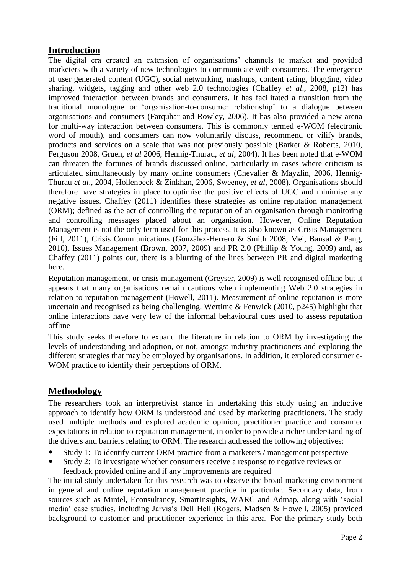## **Introduction**

The digital era created an extension of organisations' channels to market and provided marketers with a variety of new technologies to communicate with consumers. The emergence of user generated content (UGC), social networking, mashups, content rating, blogging, video sharing, widgets, tagging and other web 2.0 technologies (Chaffey *et al*., 2008, p12) has improved interaction between brands and consumers. It has facilitated a transition from the traditional monologue or 'organisation-to-consumer relationship' to a dialogue between organisations and consumers (Farquhar and Rowley, 2006). It has also provided a new arena for multi-way interaction between consumers. This is commonly termed e-WOM (electronic word of mouth), and consumers can now voluntarily discuss, recommend or vilify brands, products and services on a scale that was not previously possible (Barker & Roberts, 2010, Ferguson 2008, Gruen, *et al* 2006, Hennig-Thurau, *et al*, 2004). It has been noted that e-WOM can threaten the fortunes of brands discussed online, particularly in cases where criticism is articulated simultaneously by many online consumers (Chevalier & Mayzlin, 2006, Hennig-Thurau *et al*., 2004, Hollenbeck & Zinkhan, 2006, Sweeney, *et al*, 2008). Organisations should therefore have strategies in place to optimise the positive effects of UGC and minimise any negative issues. Chaffey (2011) identifies these strategies as online reputation management (ORM); defined as the act of controlling the reputation of an organisation through monitoring and controlling messages placed about an organisation. However, Online Reputation Management is not the only term used for this process. It is also known as Crisis Management (Fill, 2011), Crisis Communications (González-Herrero & Smith 2008, Mei, Bansal & Pang, 2010), Issues Management (Brown, 2007, 2009) and PR 2.0 (Phillip & Young, 2009) and, as Chaffey (2011) points out, there is a blurring of the lines between PR and digital marketing here.

Reputation management, or crisis management (Greyser, 2009) is well recognised offline but it appears that many organisations remain cautious when implementing Web 2.0 strategies in relation to reputation management (Howell, 2011). Measurement of online reputation is more uncertain and recognised as being challenging. Wertime & Fenwick (2010, p245) highlight that online interactions have very few of the informal behavioural cues used to assess reputation offline

This study seeks therefore to expand the literature in relation to ORM by investigating the levels of understanding and adoption, or not, amongst industry practitioners and exploring the different strategies that may be employed by organisations. In addition, it explored consumer e-WOM practice to identify their perceptions of ORM.

## **Methodology**

The researchers took an interpretivist stance in undertaking this study using an inductive approach to identify how ORM is understood and used by marketing practitioners. The study used multiple methods and explored academic opinion, practitioner practice and consumer expectations in relation to reputation management, in order to provide a richer understanding of the drivers and barriers relating to ORM. The research addressed the following objectives:

- Study 1: To identify current ORM practice from a marketers / management perspective
- Study 2: To investigate whether consumers receive a response to negative reviews or feedback provided online and if any improvements are required

The initial study undertaken for this research was to observe the broad marketing environment in general and online reputation management practice in particular. Secondary data, from sources such as Mintel, Econsultancy, SmartInsights, WARC and Admap, along with 'social media' case studies, including Jarvis's Dell Hell (Rogers, Madsen & Howell, 2005) provided background to customer and practitioner experience in this area. For the primary study both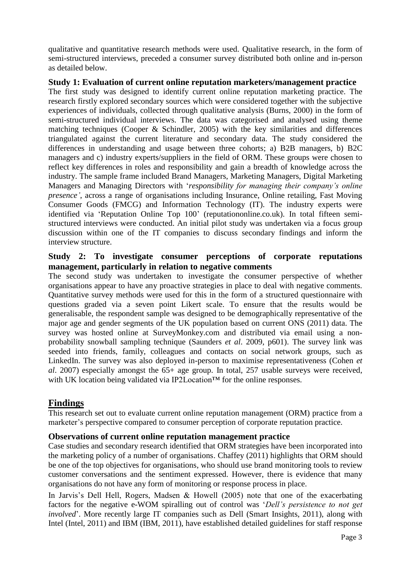qualitative and quantitative research methods were used. Qualitative research, in the form of semi-structured interviews, preceded a consumer survey distributed both online and in-person as detailed below.

#### **Study 1: Evaluation of current online reputation marketers/management practice**

The first study was designed to identify current online reputation marketing practice. The research firstly explored secondary sources which were considered together with the subjective experiences of individuals, collected through qualitative analysis (Burns, 2000) in the form of semi-structured individual interviews. The data was categorised and analysed using theme matching techniques (Cooper & Schindler, 2005) with the key similarities and differences triangulated against the current literature and secondary data. The study considered the differences in understanding and usage between three cohorts; a) B2B managers, b) B2C managers and c) industry experts/suppliers in the field of ORM. These groups were chosen to reflect key differences in roles and responsibility and gain a breadth of knowledge across the industry. The sample frame included Brand Managers, Marketing Managers, Digital Marketing Managers and Managing Directors with '*responsibility for managing their company's online presence'*, across a range of organisations including Insurance, Online retailing, Fast Moving Consumer Goods (FMCG) and Information Technology (IT). The industry experts were identified via 'Reputation Online Top 100' (reputationonline.co.uk). In total fifteen semistructured interviews were conducted. An initial pilot study was undertaken via a focus group discussion within one of the IT companies to discuss secondary findings and inform the interview structure.

#### **Study 2: To investigate consumer perceptions of corporate reputations management, particularly in relation to negative comments**

The second study was undertaken to investigate the consumer perspective of whether organisations appear to have any proactive strategies in place to deal with negative comments. Quantitative survey methods were used for this in the form of a structured questionnaire with questions graded via a seven point Likert scale. To ensure that the results would be generalisable, the respondent sample was designed to be demographically representative of the major age and gender segments of the UK population based on current ONS (2011) data. The survey was hosted online at SurveyMonkey.com and distributed via email using a nonprobability snowball sampling technique (Saunders *et al*. 2009, p601). The survey link was seeded into friends, family, colleagues and contacts on social network groups, such as LinkedIn. The survey was also deployed in-person to maximise representativeness (Cohen *et al*. 2007) especially amongst the 65+ age group. In total, 257 usable surveys were received, with UK location being validated via IP2Location™ for the online responses.

## **Findings**

This research set out to evaluate current online reputation management (ORM) practice from a marketer's perspective compared to consumer perception of corporate reputation practice.

#### **Observations of current online reputation management practice**

Case studies and secondary research identified that ORM strategies have been incorporated into the marketing policy of a number of organisations. Chaffey (2011) highlights that ORM should be one of the top objectives for organisations, who should use brand monitoring tools to review customer conversations and the sentiment expressed. However, there is evidence that many organisations do not have any form of monitoring or response process in place.

In Jarvis's Dell Hell, Rogers, Madsen & Howell (2005) note that one of the exacerbating factors for the negative e-WOM spiralling out of control was '*Dell's persistence to not get involved*'. More recently large IT companies such as Dell (Smart Insights, 2011), along with Intel (Intel, 2011) and IBM (IBM, 2011), have established detailed guidelines for staff response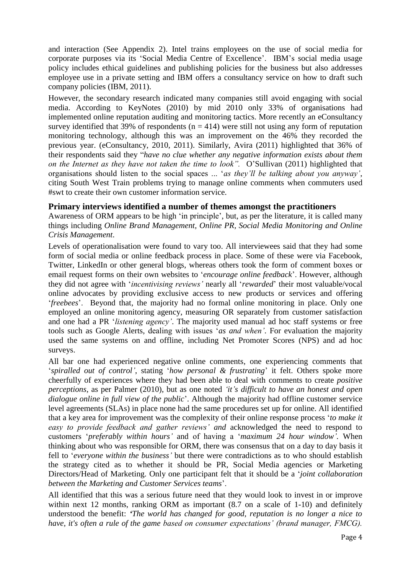and interaction (See Appendix 2). Intel trains employees on the use of social media for corporate purposes via its 'Social Media Centre of Excellence'. IBM's social media usage policy includes ethical guidelines and publishing policies for the business but also addresses employee use in a private setting and IBM offers a consultancy service on how to draft such company policies (IBM, 2011).

However, the secondary research indicated many companies still avoid engaging with social media. According to KeyNotes (2010) by mid 2010 only 33% of organisations had implemented online reputation auditing and monitoring tactics. More recently an eConsultancy survey identified that 39% of respondents ( $n = 414$ ) were still not using any form of reputation monitoring technology, although this was an improvement on the 46% they recorded the previous year. (eConsultancy, 2010, 2011). Similarly, Avira (2011) highlighted that 36% of their respondents said they "*have no clue whether any negative information exists about them on the Internet as they have not taken the time to look".* O'Sullivan (2011) highlighted that organisations should listen to the social spaces ... '*as they'll be talking about you anyway'*, citing South West Train problems trying to manage online comments when commuters used #swt to create their own customer information service.

#### **Primary interviews identified a number of themes amongst the practitioners**

Awareness of ORM appears to be high 'in principle', but, as per the literature, it is called many things including *Online Brand Management, Online PR, Social Media Monitoring and Online Crisis Management*.

Levels of operationalisation were found to vary too. All interviewees said that they had some form of social media or online feedback process in place. Some of these were via Facebook, Twitter, LinkedIn or other general blogs, whereas others took the form of comment boxes or email request forms on their own websites to '*encourage online feedback*'. However, although they did not agree with '*incentivising reviews'* nearly all '*rewarded*' their most valuable/vocal online advocates by providing exclusive access to new products or services and offering '*freebees*'. Beyond that, the majority had no formal online monitoring in place. Only one employed an online monitoring agency, measuring OR separately from customer satisfaction and one had a PR '*listening agency'*. The majority used manual ad hoc staff systems or free tools such as Google Alerts, dealing with issues '*as and when'*. For evaluation the majority used the same systems on and offline, including Net Promoter Scores (NPS) and ad hoc surveys.

All bar one had experienced negative online comments, one experiencing comments that '*spiralled out of control'*, stating '*how personal & frustrating*' it felt. Others spoke more cheerfully of experiences where they had been able to deal with comments to create *positive perceptions*, as per Palmer (2010), but as one noted *'it's difficult to have an honest and open dialogue online in full view of the public*'. Although the majority had offline customer service level agreements (SLAs) in place none had the same procedures set up for online. All identified that a key area for improvement was the complexity of their online response process '*to make it easy to provide feedback and gather reviews' and* acknowledged the need to respond to customers '*preferably within hours'* and of having a '*maximum 24 hour window'.* When thinking about who was responsible for ORM, there was consensus that on a day to day basis it fell to '*everyone within the business'* but there were contradictions as to who should establish the strategy cited as to whether it should be PR, Social Media agencies or Marketing Directors/Head of Marketing. Only one participant felt that it should be a '*joint collaboration between the Marketing and Customer Services teams*'.

All identified that this was a serious future need that they would look to invest in or improve within next 12 months, ranking ORM as important (8.7 on a scale of 1-10) and definitely understood the benefit: *'The world has changed for good, reputation is no longer a nice to have, it's often a rule of the game based on consumer expectations' (brand manager, FMCG).*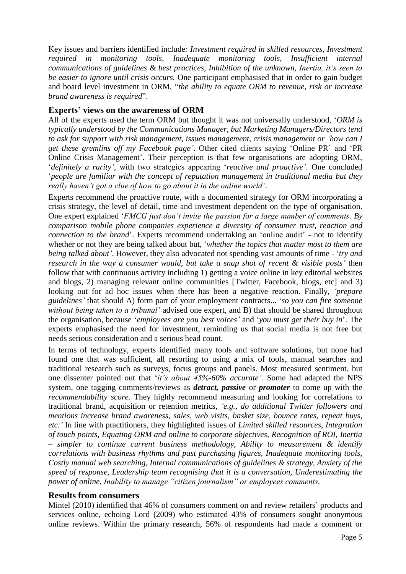Key issues and barriers identified include*: Investment required in skilled resources, Investment required in monitoring tools, Inadequate monitoring tools, Insufficient internal communications of guidelines & best practices, Inhibition of the unknown, Inertia, it's seen to be easier to ignore until crisis occurs.* One participant emphasised that in order to gain budget and board level investment in ORM, "*the ability to equate ORM to revenue, risk or increase brand awareness is required*".

#### **Experts' views on the awareness of ORM**

All of the experts used the term ORM but thought it was not universally understood, '*ORM is typically understood by the Communications Manager, but Marketing Managers/Directors tend to ask for support with risk management, issues management, crisis management or 'how can I get these gremlins off my Facebook page'*. Other cited clients saying 'Online PR' and 'PR Online Crisis Management'. Their perception is that few organisations are adopting ORM, '*definitely a rarity'*, with two strategies appearing '*reactive and proactive'*. One concluded '*people are familiar with the concept of reputation management in traditional media but they really haven't got a clue of how to go about it in the online world'*.

Experts recommend the proactive route, with a documented strategy for ORM incorporating a crisis strategy, the level of detail, time and investment dependent on the type of organisation. One expert explained '*FMCG just don't invite the passion for a large number of comments. By comparison mobile phone companies experience a diversity of consumer trust, reaction and connection to the brand*'. Experts recommend undertaking an 'online audit' - not to identify whether or not they are being talked about but, '*whether the topics that matter most to them are being talked about'*. However, they also advocated not spending vast amounts of time - '*try and research in the way a consumer would, but take a snap shot of recent & visible posts'* then follow that with continuous activity including 1) getting a voice online in key editorial websites and blogs, 2) managing relevant online communities [Twitter, Facebook, blogs, etc] and 3) looking out for ad hoc issues when there has been a negative reaction. Finally, *'prepare guidelines'* that should A) form part of your employment contracts... '*so you can fire someone without being taken to a tribunal'* advised one expert, and B) that should be shared throughout the organisation, because '*employees are you best voices'* and '*you must get their buy in*'. The experts emphasised the need for investment, reminding us that social media is not free but needs serious consideration and a serious head count.

In terms of technology, experts identified many tools and software solutions, but none had found one that was sufficient, all resorting to using a mix of tools, manual searches and traditional research such as surveys, focus groups and panels. Most measured sentiment, but one dissenter pointed out that '*it's about 45%-60% accurate'.* Some had adapted the NPS system, one tagging comments/reviews as *detract, passive* or *promoter* to come up with the *recommendability score.* They highly recommend measuring and looking for correlations to traditional brand, acquisition or retention metrics*, 'e.g., do additional Twitter followers and mentions increase brand awareness, sales, web visits, basket size, bounce rates, repeat buys, etc.'* In line with practitioners, they highlighted issues of *Limited skilled resources, Integration of touch points, Equating ORM and online to corporate objectives, Recognition of ROI, Inertia – simpler to continue current business methodology, Ability to measurement & identify correlations with business rhythms and past purchasing figures, Inadequate monitoring tools, Costly manual web searching, Internal communications of guidelines & strategy, Anxiety of the speed of response, Leadership team recognising that it is a conversation, Underestimating the power of online, Inability to manage "citizen journalism" or employees comments.*

#### **Results from consumers**

Mintel (2010) identified that 46% of consumers comment on and review retailers' products and services online, echoing Lord (2009) who estimated 43% of consumers sought anonymous online reviews. Within the primary research, 56% of respondents had made a comment or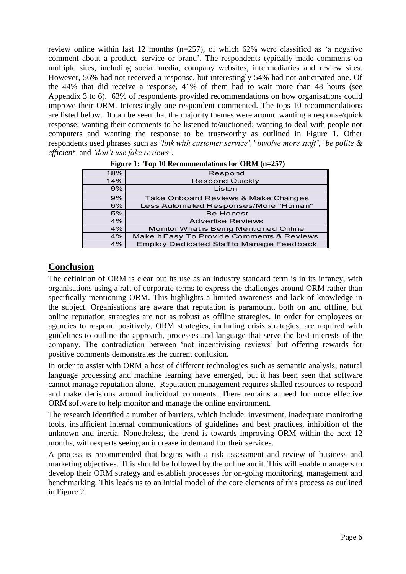review online within last 12 months  $(n=257)$ , of which 62% were classified as 'a negative comment about a product, service or brand'. The respondents typically made comments on multiple sites, including social media, company websites, intermediaries and review sites. However, 56% had not received a response, but interestingly 54% had not anticipated one. Of the 44% that did receive a response, 41% of them had to wait more than 48 hours (see Appendix 3 to 6). 63% of respondents provided recommendations on how organisations could improve their ORM. Interestingly one respondent commented. The tops 10 recommendations are listed below. It can be seen that the majority themes were around wanting a response/quick response; wanting their comments to be listened to/auctioned; wanting to deal with people not computers and wanting the response to be trustworthy as outlined in Figure 1. Other respondents used phrases such as *'link with customer service',' involve more staff',' be polite & efficient'* and *'don't use fake reviews'.* ng the response to be trustworthy as outline<br>es such as *'link with customer service',' involve n*<br>e *fake reviews'*.<br>In 10 Recommendations for ORM (n=257)

| 18% | Respond                                          |
|-----|--------------------------------------------------|
| 14% | <b>Respond Quickly</b>                           |
| 9%  | Listen                                           |
| 9%  | Take Onboard Reviews & Make Changes              |
| 6%  | Less Automated Responses/More "Human"            |
| 5%  | <b>Be Honest</b>                                 |
| 4%  | <b>Advertise Reviews</b>                         |
| 4%  | Monitor What is Being Mentioned Online           |
| 4%  | Make It Easy To Provide Comments & Reviews       |
| 4%  | <b>Employ Dedicated Staff to Manage Feedback</b> |
|     |                                                  |

**Figure 1: Top 10 Recommendations for ORM (n=257)**

#### **Conclusion**

The definition of ORM is clear but its use as an industry standard term is in its infancy, with organisations using a raft of corporate terms to express the challenges around ORM rather than specifically mentioning ORM. This highlights a limited awareness and lack of knowledge in the subject. Organisations are aware that reputation is paramount, both on and offline, but online reputation strategies are not as robust as offline strategies. In order for employees or agencies to respond positively, ORM strategies, including crisis strategies, are required with guidelines to outline the approach, processes and language that serve the best interests of the company. The contradiction between 'not incentivising reviews' but offering rewards for positive comments demonstrates the current confusion.

In order to assist with ORM a host of different technologies such as semantic analysis, natural language processing and machine learning have emerged, but it has been seen that software cannot manage reputation alone. Reputation management requires skilled resources to respond and make decisions around individual comments. There remains a need for more effective ORM software to help monitor and manage the online environment.

The research identified a number of barriers, which include: investment, inadequate monitoring tools, insufficient internal communications of guidelines and best practices, inhibition of the unknown and inertia. Nonetheless, the trend is towards improving ORM within the next 12 months, with experts seeing an increase in demand for their services.

A process is recommended that begins with a risk assessment and review of business and marketing objectives. This should be followed by the online audit. This will enable managers to develop their ORM strategy and establish processes for on-going monitoring, management and benchmarking. This leads us to an initial model of the core elements of this process as outlined in Figure 2.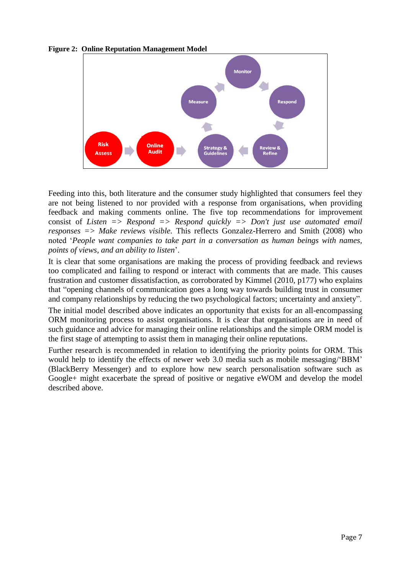



Feeding into this, both literature and the consumer study highlighted that consumers feel they are not being listened to nor provided with a response from organisations, when providing feedback and making comments online. The five top recommendations for improvement consist of *Listen => Respond => Respond quickly => Don't just use automated email responses => Make reviews visible.* This reflects Gonzalez-Herrero and Smith (2008) who noted '*People want companies to take part in a conversation as human beings with names, points of views, and an ability to listen*'.

It is clear that some organisations are making the process of providing feedback and reviews too complicated and failing to respond or interact with comments that are made. This causes frustration and customer dissatisfaction, as corroborated by Kimmel (2010, p177) who explains that "opening channels of communication goes a long way towards building trust in consumer and company relationships by reducing the two psychological factors; uncertainty and anxiety".

The initial model described above indicates an opportunity that exists for an all-encompassing ORM monitoring process to assist organisations. It is clear that organisations are in need of such guidance and advice for managing their online relationships and the simple ORM model is the first stage of attempting to assist them in managing their online reputations.

Further research is recommended in relation to identifying the priority points for ORM. This would help to identify the effects of newer web 3.0 media such as mobile messaging/'BBM' (BlackBerry Messenger) and to explore how new search personalisation software such as Google+ might exacerbate the spread of positive or negative eWOM and develop the model described above.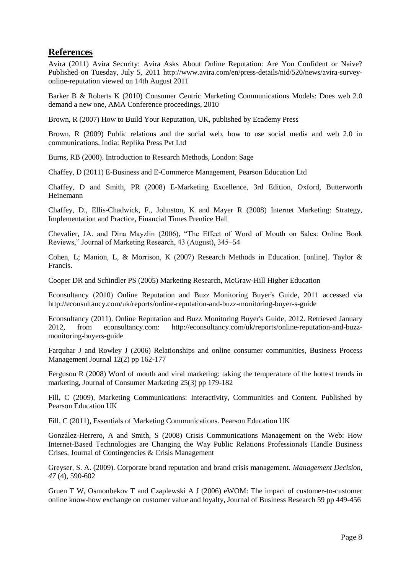## **References**

Avira (2011) Avira Security: Avira Asks About Online Reputation: Are You Confident or Naive? Published on Tuesday, July 5, 2011 [http://www.avira.com/en/press-details/nid/520/news/avira-survey](http://www.avira.com/en/press-details/nid/520/news/avira-survey-online-reputation)[online-reputation](http://www.avira.com/en/press-details/nid/520/news/avira-survey-online-reputation) viewed on 14th August 2011

Barker B & Roberts K (2010) Consumer Centric Marketing Communications Models: Does web 2.0 demand a new one, AMA Conference proceedings, 2010

Brown, R (2007) How to Build Your Reputation, UK, published by Ecademy Press

Brown, R (2009) Public relations and the social web, how to use social media and web 2.0 in communications, India: Replika Press Pvt Ltd

Burns, RB (2000). Introduction to Research Methods, London: Sage

Chaffey, D (2011) E-Business and E-Commerce Management, Pearson Education Ltd

Chaffey, D and Smith, PR (2008) E-Marketing Excellence, 3rd Edition, Oxford, Butterworth Heinemann

Chaffey, D., Ellis-Chadwick, F., Johnston, K and Mayer R (2008) Internet Marketing: Strategy, Implementation and Practice, Financial Times Prentice Hall

Chevalier, JA. and Dina Mayzlin (2006), "The Effect of Word of Mouth on Sales: Online Book Reviews," Journal of Marketing Research, 43 (August), 345–54

Cohen, L; Manion, L, & Morrison, K (2007) Research Methods in Education. [online]. Taylor & Francis.

Cooper DR and Schindler PS (2005) Marketing Research, McGraw-Hill Higher Education

Econsultancy (2010) Online Reputation and Buzz Monitoring Buyer's Guide, 2011 accessed via http://econsultancy.com/uk/reports/online-reputation-and-buzz-monitoring-buyer-s-guide

Econsultancy (2011). Online Reputation and Buzz Monitoring Buyer's Guide, 2012. Retrieved January 2012, from econsultancy.com: http://econsultancy.com/uk/reports/online-reputation-and-buzzmonitoring-buyers-guide

Farquhar J and Rowley J (2006) Relationships and online consumer communities, Business Process Management Journal 12(2) pp 162-177

Ferguson R (2008) Word of mouth and viral marketing: taking the temperature of the hottest trends in marketing, Journal of Consumer Marketing 25(3) pp 179-182

Fill, C (2009), Marketing Communications: Interactivity, Communities and Content. Published by Pearson Education UK

Fill, C (2011), Essentials of Marketing Communications. Pearson Education UK

González-Herrero, A and Smith, S (2008) Crisis Communications Management on the Web: How Internet-Based Technologies are Changing the Way Public Relations Professionals Handle Business Crises, Journal of Contingencies & Crisis Management

Greyser, S. A. (2009). Corporate brand reputation and brand crisis management. *Management Decision, 47* (4), 590-602

Gruen T W, Osmonbekov T and Czaplewski A J (2006) eWOM: The impact of customer-to-customer online know-how exchange on customer value and loyalty, Journal of Business Research 59 pp 449-456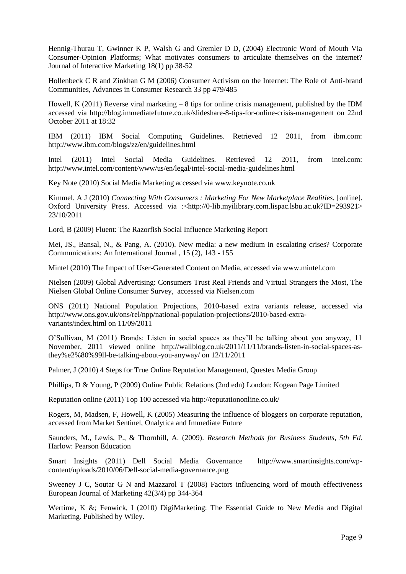Hennig-Thurau T, Gwinner K P, Walsh G and Gremler D D, (2004) Electronic Word of Mouth Via Consumer-Opinion Platforms; What motivates consumers to articulate themselves on the internet? Journal of Interactive Marketing 18(1) pp 38-52

Hollenbeck C R and Zinkhan G M (2006) Consumer Activism on the Internet: The Role of Anti-brand Communities, Advances in Consumer Research 33 pp 479/485

Howell, K (2011) Reverse viral marketing  $-8$  tips for online crisis management, published by the IDM [accessed via http://blog.immediatefuture.co.uk/slideshare-8-tips-for-online-crisis-management on 22nd](../../../../../AppData/Local/Microsoft/Windows/AppData/Local/Microsoft/Windows/Temporary%20Internet%20Files/Content.Outlook/AppData/Local/rebecca.little/AppData/Local/Microsoft/Windows/Temporary%20Internet%20Files/Low/Content.IE5/G0Z6AGP1/Reverse%20viral%20marketing%20–%208%20tips%20for%20online%20crisis%20management,%20published%20by%20the%20IDM%20accessed%20via%20http:/blog.immediatefuture.co.uk/slideshare-8-tips-for-online-crisis-management%20on%2022nd%20October%202011%20at%2018:32)  [October 2011 at 18:32](../../../../../AppData/Local/Microsoft/Windows/AppData/Local/Microsoft/Windows/Temporary%20Internet%20Files/Content.Outlook/AppData/Local/rebecca.little/AppData/Local/Microsoft/Windows/Temporary%20Internet%20Files/Low/Content.IE5/G0Z6AGP1/Reverse%20viral%20marketing%20–%208%20tips%20for%20online%20crisis%20management,%20published%20by%20the%20IDM%20accessed%20via%20http:/blog.immediatefuture.co.uk/slideshare-8-tips-for-online-crisis-management%20on%2022nd%20October%202011%20at%2018:32) 

IBM (2011) IBM Social Computing Guidelines. Retrieved 12 2011, from ibm.com: http://www.ibm.com/blogs/zz/en/guidelines.html

Intel (2011) Intel Social Media Guidelines. Retrieved 12 2011, from intel.com: http://www.intel.com/content/www/us/en/legal/intel-social-media-guidelines.html

Key Note (2010) Social Media Marketing accessed via [www.keynote.co.uk](http://www.keynote.co.uk/)

Kimmel. A J (2010) *Connecting With Consumers : Marketing For New Marketplace Realities.* [online]. Oxford University Press. Accessed via :<http://0-lib.myilibrary.com.lispac.lsbu.ac.uk?ID=293921> 23/10/2011

Lord, B (2009) Fluent: The Razorfish Social Influence Marketing Report

Mei, JS., Bansal, N., & Pang, A. (2010). New media: a new medium in escalating crises? Corporate Communications: An International Journal , 15 (2), 143 - 155

Mintel (2010) The Impact of User-Generated Content on Media, accessed via [www.mintel.com](http://www.mintel.com/)

Nielsen (2009) Global Advertising: Consumers Trust Real Friends and Virtual Strangers the Most, The Nielsen Global Online Consumer Survey, accessed via Nielsen.com

ONS (2011) National Population Projections, 2010-based extra variants release, accessed via http://www.ons.gov.uk/ons/rel/npp/national-population-projections/2010-based-extravariants/index.html on 11/09/2011

O'Sullivan, M (2011) Brands: Listen in social spaces as they'll be talking about you anyway, 11 November, 2011 viewed online [http://wallblog.co.uk/2011/11/11/brands-listen-in-social-spaces-as](http://wallblog.co.uk/2011/11/11/brands-listen-in-social-spaces-as-they%e2%80%99ll-be-talking-about-you-anyway/)[they%e2%80%99ll-be-talking-about-you-anyway/](http://wallblog.co.uk/2011/11/11/brands-listen-in-social-spaces-as-they%e2%80%99ll-be-talking-about-you-anyway/) on 12/11/2011

Palmer, J (2010) 4 Steps for True Online Reputation Management, Questex Media Group

Phillips, D & Young, P (2009) Online Public Relations (2nd edn) London: Kogean Page Limited

Reputation online (2011) Top 100 accessed via http://reputationonline.co.uk/

Rogers, M, Madsen, F, Howell, K (2005) Measuring the influence of bloggers on corporate reputation, accessed from Market Sentinel, Onalytica and Immediate Future

Saunders, M., Lewis, P., & Thornhill, A. (2009). *Research Methods for Business Students, 5th Ed.* Harlow: Pearson Education

Smart Insights (2011) Dell Social Media Governance http://www.smartinsights.com/wpcontent/uploads/2010/06/Dell-social-media-governance.png

Sweeney J C, Soutar G N and Mazzarol T (2008) Factors influencing word of mouth effectiveness European Journal of Marketing 42(3/4) pp 344-364

Wertime, K &; Fenwick, I (2010) DigiMarketing: The Essential Guide to New Media and Digital Marketing. Published by Wiley.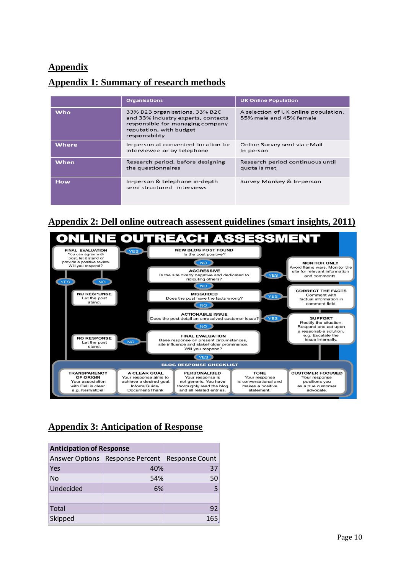## **Appendix**

## **Appendix 1: Summary of research methods**

|            | <b>Organisations</b>                                                                                                                                  | <b>UK Online Population</b>                                     |
|------------|-------------------------------------------------------------------------------------------------------------------------------------------------------|-----------------------------------------------------------------|
| <b>Who</b> | 33% B2B organisations, 33% B2C<br>and 33% industry experts, contacts<br>responsible for managing company<br>reputation, with budget<br>responsibility | A selection of UK online population,<br>55% male and 45% female |
| Where      | In-person at convenient location for<br>interviewee or by telephone                                                                                   | Online Survey sent via eMail<br>In-person                       |
| When       | Research period, before designing<br>the questionnaires                                                                                               | Research period continuous until<br>quota is met                |
| <b>How</b> | In-person & telephone in-depth<br>semi structured interviews                                                                                          | Survey Monkey & In-person                                       |

## **Appendix 2: Dell online outreach assessent guidelines (smart insights, 2011)**



## **Appendix 3: Anticipation of Response**

| <b>Anticipation of Response</b> |                                   |                |
|---------------------------------|-----------------------------------|----------------|
|                                 | Answer Options   Response Percent | Response Count |
| Yes                             | 40%                               | 37             |
| <b>No</b>                       | 54%                               | 50             |
| Undecided                       | 6%                                |                |
|                                 |                                   |                |
| Total                           |                                   | 92             |
| Skipped                         |                                   | 165            |